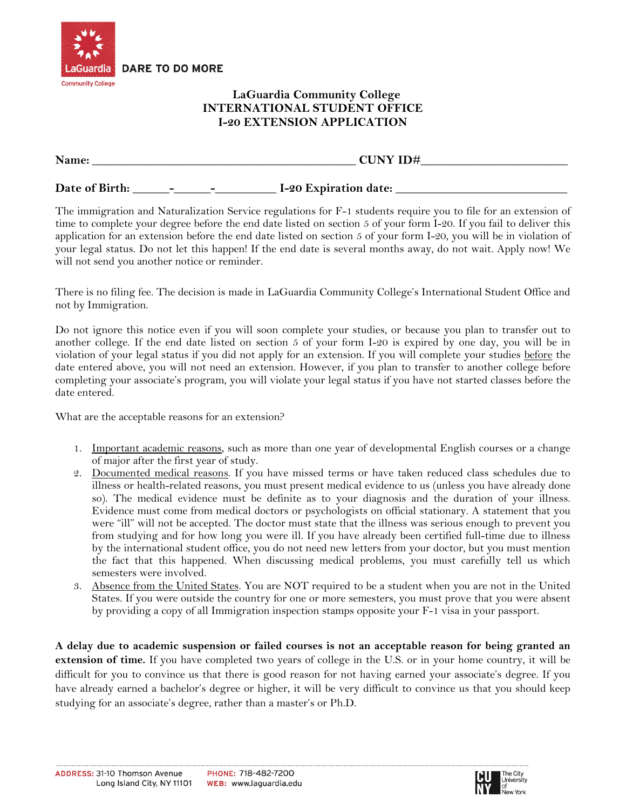

## **LaGuardia Community College INTERNATIONAL STUDENT OFFICE I-20 EXTENSION APPLICATION**

| Name:          |   |   | <b>CUNY ID#</b>       |  |  |
|----------------|---|---|-----------------------|--|--|
| Date of Birth: | - | - | I-20 Expiration date: |  |  |

The immigration and Naturalization Service regulations for F-1 students require you to file for an extension of time to complete your degree before the end date listed on section 5 of your form I-20. If you fail to deliver this application for an extension before the end date listed on section 5 of your form I-20, you will be in violation of your legal status. Do not let this happen! If the end date is several months away, do not wait. Apply now! We will not send you another notice or reminder.

There is no filing fee. The decision is made in LaGuardia Community College's International Student Office and not by Immigration.

Do not ignore this notice even if you will soon complete your studies, or because you plan to transfer out to another college. If the end date listed on section 5 of your form I-20 is expired by one day, you will be in violation of your legal status if you did not apply for an extension. If you will complete your studies before the date entered above, you will not need an extension. However, if you plan to transfer to another college before completing your associate's program, you will violate your legal status if you have not started classes before the date entered.

What are the acceptable reasons for an extension?

- 1. Important academic reasons, such as more than one year of developmental English courses or a change of major after the first year of study.
- 2. Documented medical reasons. If you have missed terms or have taken reduced class schedules due to illness or health-related reasons, you must present medical evidence to us (unless you have already done so). The medical evidence must be definite as to your diagnosis and the duration of your illness. Evidence must come from medical doctors or psychologists on official stationary. A statement that you were "ill" will not be accepted. The doctor must state that the illness was serious enough to prevent you from studying and for how long you were ill. If you have already been certified full-time due to illness by the international student office, you do not need new letters from your doctor, but you must mention the fact that this happened. When discussing medical problems, you must carefully tell us which semesters were involved.
- 3. Absence from the United States. You are NOT required to be a student when you are not in the United States. If you were outside the country for one or more semesters, you must prove that you were absent by providing a copy of all Immigration inspection stamps opposite your F-1 visa in your passport.

**A delay due to academic suspension or failed courses is not an acceptable reason for being granted an extension of time.** If you have completed two years of college in the U.S. or in your home country, it will be difficult for you to convince us that there is good reason for not having earned your associate's degree. If you have already earned a bachelor's degree or higher, it will be very difficult to convince us that you should keep studying for an associate's degree, rather than a master's or Ph.D.

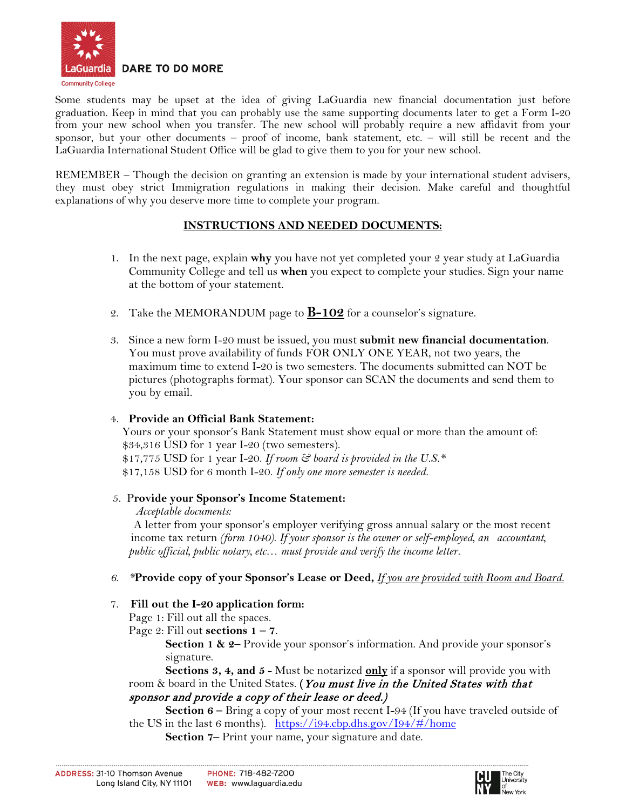

Some students may be upset at the idea of giving LaGuardia new financial documentation just before graduation. Keep in mind that you can probably use the same supporting documents later to get a Form I-20 from your new school when you transfer. The new school will probably require a new affidavit from your sponsor, but your other documents – proof of income, bank statement, etc. – will still be recent and the LaGuardia International Student Office will be glad to give them to you for your new school.

REMEMBER – Though the decision on granting an extension is made by your international student advisers, they must obey strict Immigration regulations in making their decision. Make careful and thoughtful explanations of why you deserve more time to complete your program.

## **INSTRUCTIONS AND NEEDED DOCUMENTS:**

- 1. In the next page, explain **why** you have not yet completed your 2 year study at LaGuardia Community College and tell us **when** you expect to complete your studies. Sign your name at the bottom of your statement.
- 2. Take the MEMORANDUM page to **B-102** for a counselor's signature.
- 3. Since a new form I-20 must be issued, you must **submit new financial documentation**. You must prove availability of funds FOR ONLY ONE YEAR, not two years, the maximum time to extend I-20 is two semesters. The documents submitted can NOT be pictures (photographs format). Your sponsor can SCAN the documents and send them to you by email.

## 4. **Provide an Official Bank Statement:**

 Yours or your sponsor's Bank Statement must show equal or more than the amount of: \$34,316 USD for 1 year I-20 (two semesters). \$17,775 USD for 1 year I-20. *If room & board is provided in the U.S.\** \$17,158 USD for 6 month I-20. *If only one more semester is needed.*

## 5. P**rovide your Sponsor's Income Statement:**

#### *Acceptable documents:*

 A letter from your sponsor's employer verifying gross annual salary or the most recent income tax return *(form 1040)*. *If your sponsor is the owner or self-employed, an accountant, public official, public notary, etc… must provide and verify the income letter.* 

## *6. \****Provide copy of your Sponsor's Lease or Deed,** *If you are provided with Room and Board.*

## 7. **Fill out the I-20 application form:**

Page 1: Fill out all the spaces.

Page 2: Fill out **sections**  $1 - 7$ .

**Section 1 & 2**– Provide your sponsor's information. And provide your sponsor's signature.

**Sections 3, 4, and 5 - Must be notarized only if a sponsor will provide you with** room & board in the United States. **(**You must live in the United States with that sponsor and provide a copy of their lease or deed.)

**Section 6 –** Bring a copy of your most recent I-94 (If you have traveled outside of the US in the last 6 months). <https://i94.cbp.dhs.gov/I94/#/home>

**Section 7**– Print your name, your signature and date.

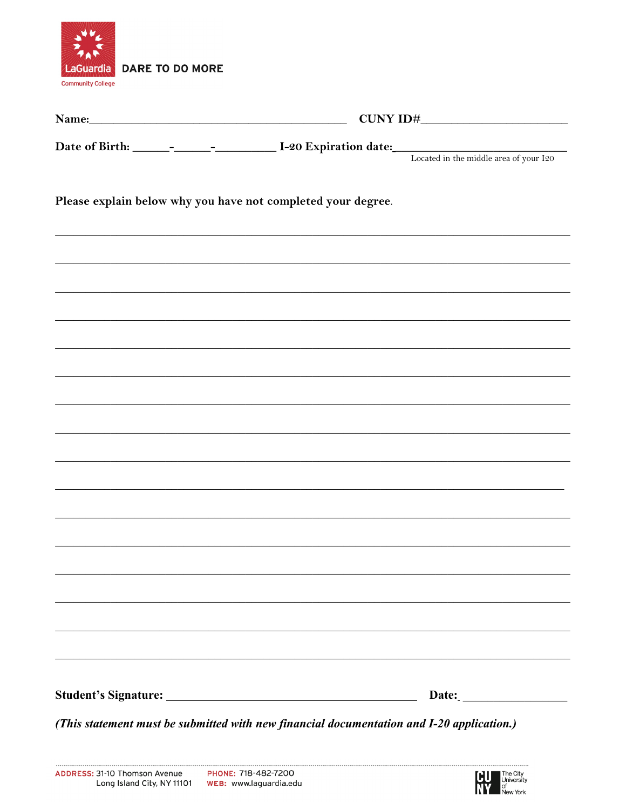

| Name: Name and the set of the set of the set of the set of the set of the set of the set of the set of the set of the set of the set of the set of the set of the set of the set of the set of the set of the set of the set o |  |  |  |  |  |
|--------------------------------------------------------------------------------------------------------------------------------------------------------------------------------------------------------------------------------|--|--|--|--|--|
|                                                                                                                                                                                                                                |  |  |  |  |  |
|                                                                                                                                                                                                                                |  |  |  |  |  |
| Please explain below why you have not completed your degree.                                                                                                                                                                   |  |  |  |  |  |
|                                                                                                                                                                                                                                |  |  |  |  |  |
|                                                                                                                                                                                                                                |  |  |  |  |  |
|                                                                                                                                                                                                                                |  |  |  |  |  |
|                                                                                                                                                                                                                                |  |  |  |  |  |
|                                                                                                                                                                                                                                |  |  |  |  |  |
|                                                                                                                                                                                                                                |  |  |  |  |  |
|                                                                                                                                                                                                                                |  |  |  |  |  |
|                                                                                                                                                                                                                                |  |  |  |  |  |
|                                                                                                                                                                                                                                |  |  |  |  |  |
|                                                                                                                                                                                                                                |  |  |  |  |  |
|                                                                                                                                                                                                                                |  |  |  |  |  |
|                                                                                                                                                                                                                                |  |  |  |  |  |
|                                                                                                                                                                                                                                |  |  |  |  |  |
|                                                                                                                                                                                                                                |  |  |  |  |  |
|                                                                                                                                                                                                                                |  |  |  |  |  |
|                                                                                                                                                                                                                                |  |  |  |  |  |
| (This statement must be submitted with new financial documentation and I-20 application.)                                                                                                                                      |  |  |  |  |  |